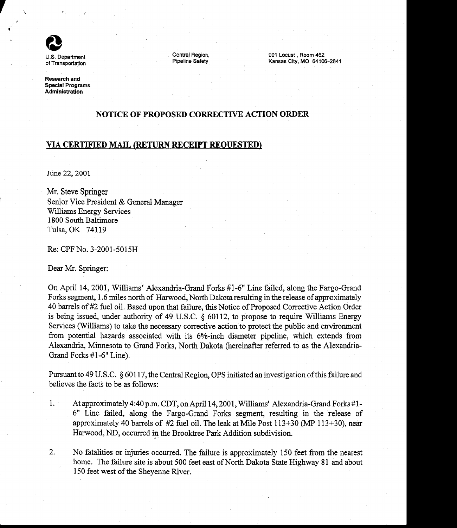

Central Region, Pipeline Safety 901 Locust , Room 462 Kansas City, MO 64106-2641

Research and Special Programs Administration

### NOTICE OF PROPOSED CORRECTWE ACTION ORDER

## VIA CERTIFIED MAIL (RETURN RECEIPT REOUESTED)

June 22, 2001

Mr. Steve Springer Senior Vice President & General Manager Williams Energy Services 1800 South Baltimore Tulsa, OK 74II9

Re: CPF No. 3-2001-5015H

Dear Mr. Springer:

On April 14, 2001, Williams' Alexandria-Grand Forks #1-6" Line failed, along the Fargo-Grand Forks segment, 1 .6 miles north of Harwood, North Dakota resulting in the release of approximately 40 barrels of #2 fuel oil. Based upon that failure, this Notice of Proposed Corrective Action Order is being issued, under authority of 49 U.S.C.  $\S$  60112, to propose to require Williams Energy Services (Wiltiams) to take the necessary corrective action to protect the public and environment from potential hazards associated with its 6%-inch diameter pipeline, which extends from Alexandria, Minnesota to Grand Forks, North Dakota (hereinafter referred to as the Alexandria-Grand Forks #1-6\* Line).

Pursuant to 49 U.S.C. § 60117, the Central Region, OPS initiated an investigation of this failure and believes the facts to be as follows:

- 1. At approximately 4:40 p.m. CDT, on April 14, 2001, Williams' Alexandria-Grand Forks #1-6" Line failed, along the Fargo-Grand Forks segment, resulting in the release of approximately 40 barrels of  $#2$  fuel oil. The leak at Mile Post  $113+30$  (MP  $113+30$ ), near Harwood, ND, occwred in the Brooktree Park Addition subdivision.
- $2.$ No fatalities or injuries occurred. The failure is approximately 150 feet from the nearest home. The failure site is about 500 feet east of North Dakota State Highway 81 and about 150 feet west of the Shevenne River.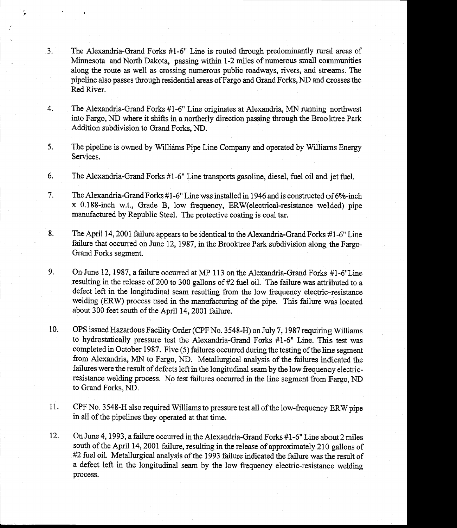- $3.$ The Alexandria-Grand Forks #1-6" Line is routed through predominantly rural areas of Minnesota and North Dakota, passing within 1-2 miles of numerous smail cornmunities along the route as well as crossing numerous public roadways, rivers, and streams. The pipeline also passes through residential areas of Fargo and Grand Forks, ND and crosses the Red River.
- 4. The Alexandria-Grand Forks #1-6" Line originates at Alexandria, MN running northwest into Fargo, ND where it shifts in a northerly direction passing through the Brooktree Park Addition subdivision to Grand Forks, ND.
- The pipeline is owned by Williams Pipe Line Company and operated by Wiiliaras Energy Services. 5.
- The Alexandria-Grand Forks #1-6" Line fiansports gasoline, diesel, fuel oil and jet fuel. 6.
- The Alexandria-Grand Forks  $#1$ -6" Line was installed in 1946 and is constructed of 6 $%$ -inch x 0.188-inch w.t., Grade B, low frequency, ERW(electrical-resistance welded) pipe manufactured by Republic Steel. The protective coating is coal tar. 7.
- 8. The April 14, 2001 failure appears to be identical to the Alexandria-Grand Forks  $#1$ -6" Line failure that occurred on June 12, 1987, in the Brooktree Park subdivision along the Fargo-Grand Forks segment.
- On June 12, 1987, a failure occurred at MP 113 on the Alexandria-Grand Forks #1-6"Line resulting in the release of 200 to 300 gallons of #2 fuel oil. The failure was attributed to a defect left in the longitudinal seam resulting from the low frequency electric-resistance welding (ERW) process used in the manufacturing of the pipe. This failure was located about 300 feet south of the April 14,2001 failure 9.
- OPS issued Hazardous Facility Order (CPF No. 3 548-H) on July 7 , 1987 requiring Williams to hydrostatically pressure test the Alexandria-Grand Forks #1-6" Line. This test was completed in October 1987. Five (5) failures occurred during the testing of the line segment from Alexandria, MN to Fargo, ND. Metallurgical analysis of the failures indicated the failures were the result of defects left in the longitudinal seam by the low frequency electricresistance welding process. No test failures occurred in the line segment from Fargo, ND to Grand Forks, ND. 10.
- CPF No. 3548-H also required Williams to pressure test all of the low-frequency ERW pipe in all of the pipeiines they operated at that time. 11.
- On June 4, 1993, a failure occurred in the Alexandria-Grand Forks #I-6" Line about 2 miles south of the April 14, 2001 failure, resulting in the release of approximateiy 210 gallons of #2 fuel oil. Metallurgical analysis of the 1993 failure indicated the failure was the result of a defect left in the longitudinal seam by the low frequency electric-resistance welding process.  $12.$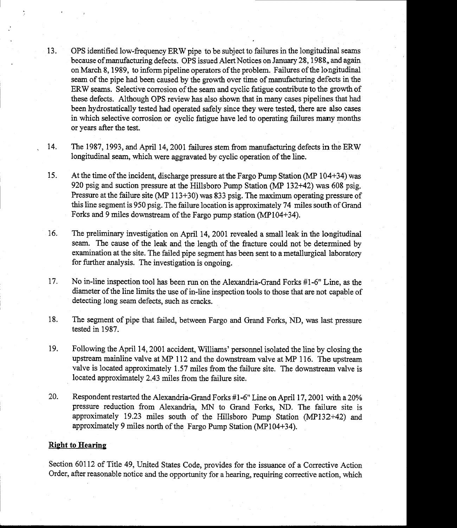- 13. OPS identified low-frequency ERW pipe to be subject to failures in the longitudinal seams because of manufacturing defects. OPS issued Alert Notices on January 28, 1988, and again on March 8, 1989, to inform pipeline operators of the problem. Failures of the longitudinal seam of the pipe had been caused by the growth over time of manufacturing defects in the ERW seams. Selective corrosion of the seam and cyclic fatigue contribute to the growth of these defects. Although OPS review has also shown that in many cases pipelines that had been hydrostatically tested had operated safely since they were tested, there are also cases in which selective corrosion or cyclic fatigue have led to operating failures many months or years after the test.
- The 1987, 1993, and April 14, 2001 failures stem from manufacturing defects in the ERW longitudinal seam, which were aggravated by cyclic operation of the line. 14.
- At the time of the incident, discharge pressure at the Fargo Pump Station (MP 104+34) was 920 psig and suction pressure at the Hillsboro Pump Station (MP 132+42) was 608 psig. Pressure at the failure site (MP 113+30) was 833 psig. The maximum operating pressure of this line segment is 950 psig. The failure location is approximately 74 miles south of Grand Forks and 9 miles downsteam of the Fargo pump station (MP104+34). 15.
- The preliminary investigation on April 14, 2001 revealed a small leak in the longitudinal seam. The cause of the leak and the length of the fracture could not be determined by examination at the site. The failed pipe segment has been sent to a metallurgical laboratory for firther analysis. The investigation is ongoing. 76.
- No in-line inspection tool has been run on the Alexandria-Grand Forks #1-6" Line, as the diameter of the line limits the use of in-line inspection tools to those that are not capable of detecting long seam defects, such as cracks. t7.
- The segment of pipe that failed, between Fargo and Grand Forks, ND, was last pressure tested in 1987. 18.
- 19. Following the April 14, 2001 accident, Williams' personnel isolated the line by closing the upstream mainline valve at MP 112 and the downstream valve at MP 116. The upstream valve is located approximately I.57 miles from the failure site. The downstream valve is located approximately 2.43 miles from the failure site.
- 20. Respondent restarted the Alexandria-Grand Forks #1-6" Line on April 17, 2001 with a 20% pressure reduction from Alexandria, MN to Grand Forks, ND. The failure site is approximately 19.23 miles south of the Hillsboro Pump Station (MPl32+42) and, approximately 9 miles north of the Fargo Pump Station (MPi04+34).

### Right to Hearing

Section 60112 of Title 49, United States Code, provides for the issuance of a Corrective Action Order, after reasonable notice and the opportunity for a hearing, requiring corrective action, which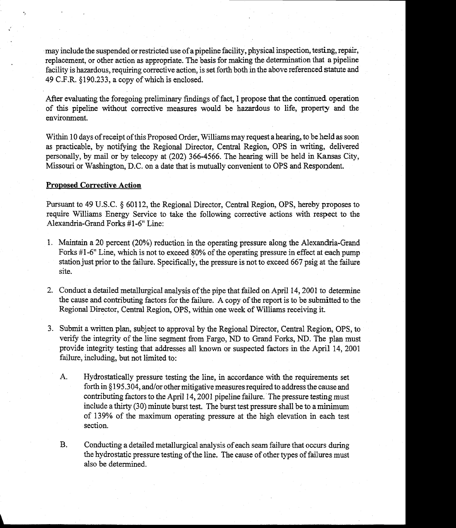may include the suspended or restricted use of apipeline facility, physical inspection, testing, repair, replacement, or other action as appropriate. The basis for making the determination that a pipeline facility is hazardous, requiring corrective action, is set forth both in the above referenced statute and 49 C.F.R. \$190.233, a copy of which is enclosed

After evaluating the foregoing preliminary findings of fact, I propose that the continued operation of this pipeline without corrective measures would be hazardous to life, property and the environment.

Within 10 days of receipt of this Proposed Order, Williams may request a hearing, to be held as soon as practicable, by notifying the Regional Director, Central Region, OPS in writing, delivered personally, by mail or by telecopy at (202) 366-4566. The hearing will be held in Kansas City, Missouri or Washington, D.C. on a date that is mutually convenient to OPS and Respondent.

#### Proposed Corrective Action

Pursuant to 49 U.S.C. § 60112, the Regional Director, Central Region, OPS, hereby proposes to require Williams Enetgy Service to take the following corrective actions with respect to the Alexandria-Grand Forks #1 -6" Line:

- 1. Maintain a 20 percent (20%) reduction in the operating pressure along the Alexandria-Grand Forks #1-6" Line, which is not to exceed 80% of the operating pressure in effect at each pump station just prior to the failure. Specifically, the pressure is not to exceed 667 psig at the failure site.
- 2. Conduct a detailed metallurgical analysis of the pipe that failed on April 14, 2001 to determine the cause and contributing factors for the failure. A copy of the report is to be submitted to the Regional Director, Central Region, OPS, within one week of Williams receiving it.
- 3. Submit a written plan, subject to approval by the Regional Director, Central Region, OPS, to verify the integrity of the line segment from Fargo, ND to Grand Forks, ND. The plan must provide integrity testing that addresses all known or suspected factors in the April 14, 2001 failure, including, but not limited to:
	- A. Hydrostatically pressure testing the line, in accordance with the requirements set forth in §195.304, and/or other mitigative measures required to address the cause and contributing factors to the April 14, 2001 pipeline failure. The pressure testing must include a thirty (30) minute burst test. The burst test pressure shall be to a minimum of I39Yo of the maximum operating pressure at the high elevation in each test section.
	- B. Conducting a detailed metallurgical analysis of each seam failure that occurs during the hydrostatic pressure testing of the line. The cause of other types of failures must also be determined.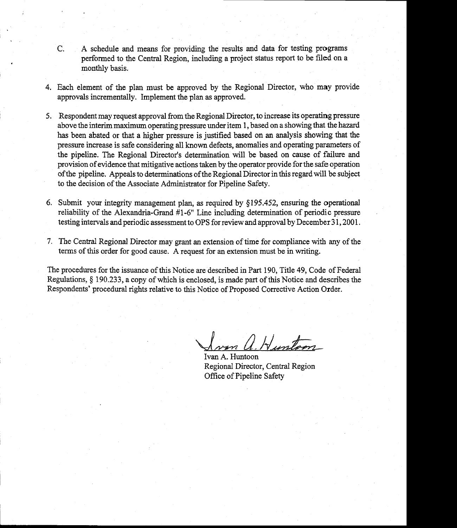- C. A schedule and means for providing the results and data for testing programs performed to the Central Region, including a project status report to be filed on a monthly basis.
- 4. Each element of the plan must be approved by the Regional Director, who may provide approvals incrementally. Implement the plan as approved.
- 5. Respondent may request approval from the Regional Director, to increase its operating pressure above the interim maximum operating pressure under item 1, based on a showing that thehazard has been abated or that a higher pressure is justified based on an analysis showing that the pressure increase is safe considering all known defects, anomalies and operating parameters of the pipeline. The Regional Director's determination wiil be based on cause of failure and provision of evidence that mitigative actions taken by the operator provide for the safe operation ofthe pipeline. Appeals to determinations ofthe Regional Director in this regard will be subject to the decision of the Associate Administrator for Pipeline Safety.
- 6. Submit your integrity management plan, as required by \$195.452, ensuring the operational reliability of the Alexandria-Grand #1-6" Line including determination of periodic pressure testing intervals and periodic assessment to OPS for review and approval by December 31, 2001.
- 7. The Central Regional Director may grant an extension of time for compliance with any of the terms of this order for good cause. A request for an extension must be in writing.

The procedures for the issuance of this Notice are described in Part 190, Title 49, Code of Federal Regulations, \$ 190.233, a copy of which is enclosed, is made part of this Notice and describes the Respondents' procedural rights relative to this Notice of Proposed Corrective Action Order.

1 Hunton

Ivan A. Huntoon Regional Director, Central Region Office of Pipeline Safety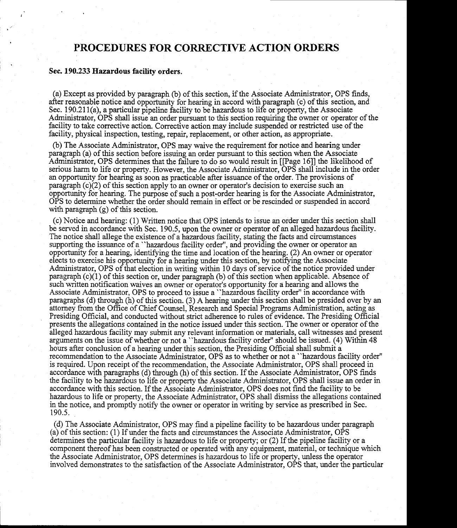# PROCEDURES FOR CORRECTIVE ACTION ORDERS

#### Sec. 190.233 Ifazardous facilitv orders.

(a) Except as provided by paragraph (b) of this section, if the Associate Administrator, OPS finds, after reasonable notice and opportuniry for hearing in accord with paragraph (c) of this section, and Sec. 190.211(a), a particular pipeline facility to be hazardous to life or property, the Associate Administrator, OPS shall issue an order pursuant to this section requiring the owner or operator of the facility to take corrective action. Corrective action may include suspended or restricted use of the facility, physical inspection, testing, repair, replacement, or other action, as appropriate.

(b) The Associate Administrator, OPS may waive the requirement for notice and hearing under paragraph (a) of this section before issuing an order pursuant to this section when the Associate Administator, OPS determines that the failure to do so would result in [[Page 16]] the likelihood of serious harm to life or property. However, the Associate Administrator, OPS shall include in the order an opportunity for hearing as soon as practicable after issuance of the order. The provisions of paragraph  $(c)(2)$  of this section apply to an owner or operator's decision to exercise such an oppornmity for hearing. The purpose of such a post-order hearing is for the Associate Administrator, OPS to determine whether the order should remain in effect or be rescinded or suspended in accord with paragraph (g) of this section.

(c) Notice and hearing: (1) Written notice that OPS intends to issue an order under this section shall be served in accordance with Sec. 190.5, upon the owner or operator of an alleged hazardous facility. The notice shall allege the existence of a hazardous facility, stating the facts and circurnstances supporting the issuance of a "hazardous facility order", and providing the owner or operator an opportunity for a hearing, identifying the time and location of the hearing.  $(2)$  An owner or operator elects to exercise his opportunity for a hearing under this section, by notifying the Associate Administrator, OPS of that election in writing within 10 days of service of the notice provided under paragraph  $(c)(1)$  of this section or, under paragraph  $(b)$  of this section when applicable. Absence of such written notification waives an owner or operator's opportunity for a hearing and allows the Associate Administrator, OPS to proceed to issue a "hazardous facility order" in accordance with paragraphs (d) through (h) of this section. (3) A hearing under this section shall be presided over by an attorney from the Office of Chief Counsel, Research and Special Programs Administration, acting as Presiding Official, and conducted without strict adherence to rules of evidence. The Presiding Official presents the allegations contained in the notice issued under this section. The owner or operator of the alleged hazardous facility may submit any reievant information or materials, call witnesses and present arguments on the issue of whether or not a "hazardous facility order" should be issued. (4) Within 48 hours after conclusion of a hearing under this section, the Presiding Official shall submit a recommendation to the Associate Administrator, OPS as to whether or not a "hazardous facility order" is required. Upon receipt of the recommendation, the Associate Administrator, OPS shall proceed in accordance with paragraphs (d) through (h) of this section. If the Associate Administrator, OPS finds the facility to be hazardous to life or property the Associate Administrator, OPS shall issue an order in accordance with this section. If the Associate Administrator, OPS does not find the facility to be hazardous to life or property, the Associate Administrator, OPS shall dismiss the allegations contained in the notice, and promptly notify the owner or operator in writing by service as prescribed in Sec. 190.s.

(d) The Associate Adrninistrator, OPS may find a pipeiine facility to be hazardous under paragraph (a) of this section: (1) If under the facts and circumstances the Associate Administrator, OPS determines the particular facility is hazardous to life or property; or (2) If the pipeline facility or a component thereof has been constructed or operated with any equipment, material, or technique which the Associate Administrator, OPS determines is hazardous to life or property, unless the operator involved demonstrates to the satisfaction of the Associate Administrator, OPS that, under the particular